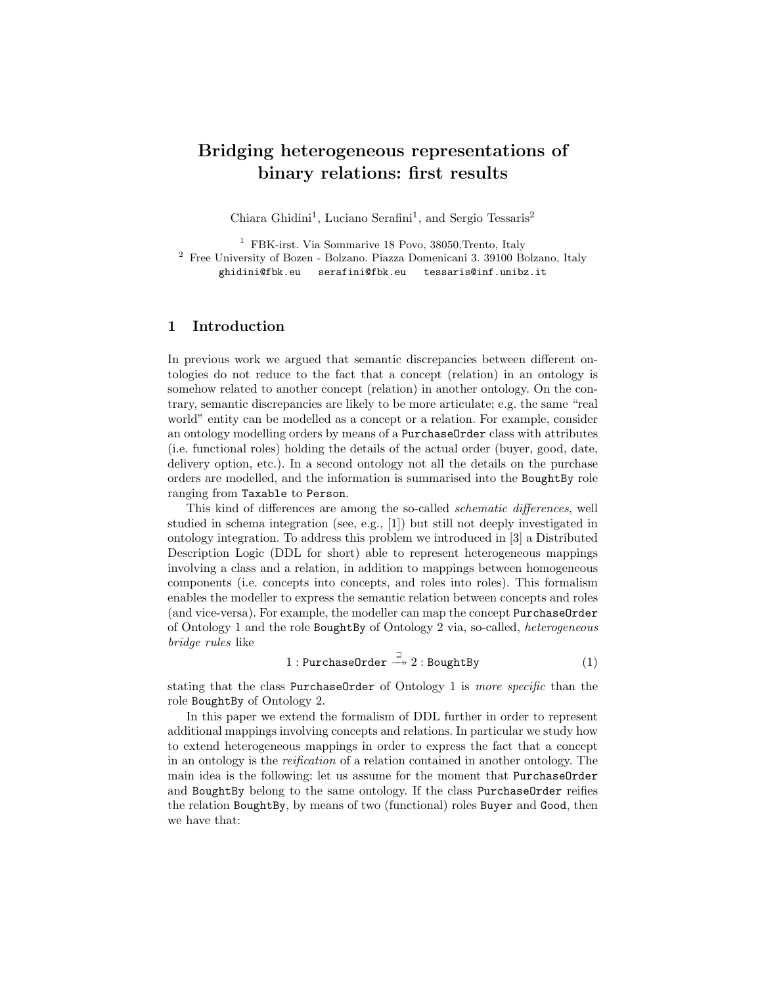# Bridging heterogeneous representations of binary relations: first results

Chiara Ghidini<sup>1</sup>, Luciano Serafini<sup>1</sup>, and Sergio Tessaris<sup>2</sup>

<sup>1</sup> FBK-irst. Via Sommarive 18 Povo, 38050,Trento, Italy <sup>2</sup> Free University of Bozen - Bolzano. Piazza Domenicani 3. 39100 Bolzano, Italy ghidini@fbk.eu serafini@fbk.eu tessaris@inf.unibz.it

## 1 Introduction

In previous work we argued that semantic discrepancies between different ontologies do not reduce to the fact that a concept (relation) in an ontology is somehow related to another concept (relation) in another ontology. On the contrary, semantic discrepancies are likely to be more articulate; e.g. the same "real world" entity can be modelled as a concept or a relation. For example, consider an ontology modelling orders by means of a PurchaseOrder class with attributes (i.e. functional roles) holding the details of the actual order (buyer, good, date, delivery option, etc.). In a second ontology not all the details on the purchase orders are modelled, and the information is summarised into the BoughtBy role ranging from Taxable to Person.

This kind of differences are among the so-called schematic differences, well studied in schema integration (see, e.g., [1]) but still not deeply investigated in ontology integration. To address this problem we introduced in [3] a Distributed Description Logic (DDL for short) able to represent heterogeneous mappings involving a class and a relation, in addition to mappings between homogeneous components (i.e. concepts into concepts, and roles into roles). This formalism enables the modeller to express the semantic relation between concepts and roles (and vice-versa). For example, the modeller can map the concept PurchaseOrder of Ontology 1 and the role BoughtBy of Ontology 2 via, so-called, heterogeneous bridge rules like

$$
1: \text{PurchaseOrder} \xrightarrow{\sqsupseteq} 2: \text{BoughtBy} \tag{1}
$$

stating that the class PurchaseOrder of Ontology 1 is more specific than the role BoughtBy of Ontology 2.

In this paper we extend the formalism of DDL further in order to represent additional mappings involving concepts and relations. In particular we study how to extend heterogeneous mappings in order to express the fact that a concept in an ontology is the reification of a relation contained in another ontology. The main idea is the following: let us assume for the moment that PurchaseOrder and BoughtBy belong to the same ontology. If the class PurchaseOrder reifies the relation BoughtBy, by means of two (functional) roles Buyer and Good, then we have that: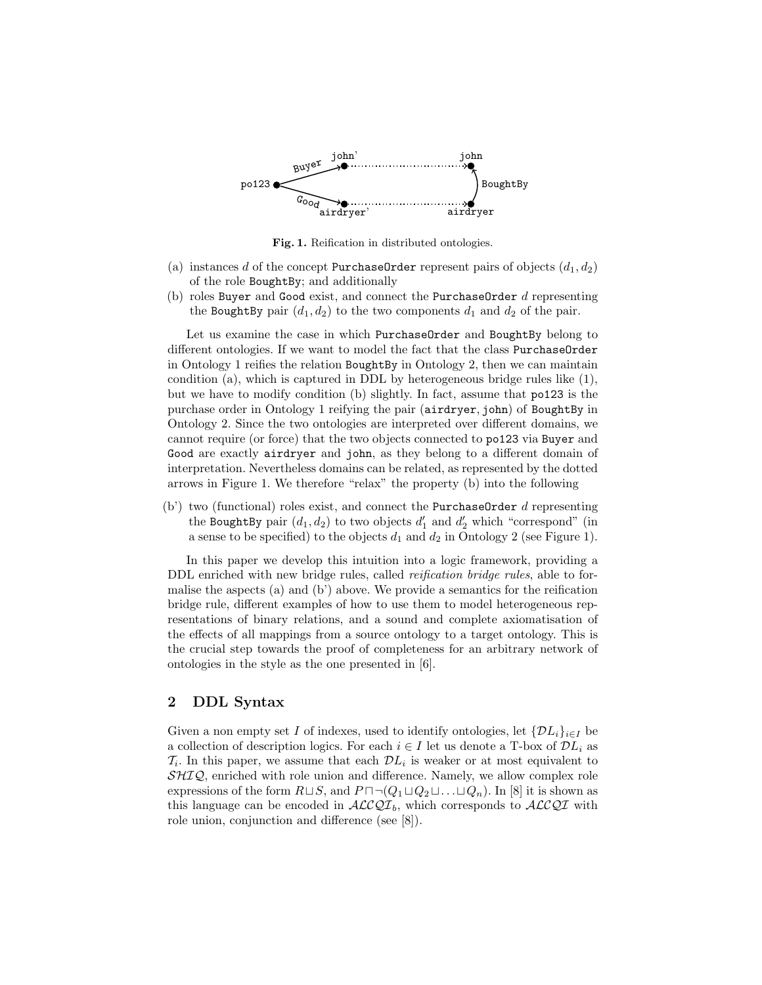

Fig. 1. Reification in distributed ontologies.

- (a) instances d of the concept PurchaseOrder represent pairs of objects  $(d_1, d_2)$ of the role BoughtBy; and additionally
- (b) roles Buyer and Good exist, and connect the PurchaseOrder  $d$  representing the BoughtBy pair  $(d_1, d_2)$  to the two components  $d_1$  and  $d_2$  of the pair.

Let us examine the case in which PurchaseOrder and BoughtBy belong to different ontologies. If we want to model the fact that the class PurchaseOrder in Ontology 1 reifies the relation BoughtBy in Ontology 2, then we can maintain condition (a), which is captured in DDL by heterogeneous bridge rules like (1), but we have to modify condition (b) slightly. In fact, assume that po123 is the purchase order in Ontology 1 reifying the pair (airdryer, john) of BoughtBy in Ontology 2. Since the two ontologies are interpreted over different domains, we cannot require (or force) that the two objects connected to po123 via Buyer and Good are exactly airdryer and john, as they belong to a different domain of interpretation. Nevertheless domains can be related, as represented by the dotted arrows in Figure 1. We therefore "relax" the property (b) into the following

(b') two (functional) roles exist, and connect the PurchaseOrder d representing the BoughtBy pair  $(d_1, d_2)$  to two objects  $d'_1$  and  $d'_2$  which "correspond" (in a sense to be specified) to the objects  $d_1$  and  $d_2$  in Ontology 2 (see Figure 1).

In this paper we develop this intuition into a logic framework, providing a DDL enriched with new bridge rules, called *reification bridge rules*, able to formalise the aspects (a) and (b') above. We provide a semantics for the reification bridge rule, different examples of how to use them to model heterogeneous representations of binary relations, and a sound and complete axiomatisation of the effects of all mappings from a source ontology to a target ontology. This is the crucial step towards the proof of completeness for an arbitrary network of ontologies in the style as the one presented in [6].

## 2 DDL Syntax

Given a non empty set I of indexes, used to identify ontologies, let  $\{DL_i\}_{i\in I}$  be a collection of description logics. For each  $i \in I$  let us denote a T-box of  $\mathcal{D}L_i$  as  $\mathcal{T}_i$ . In this paper, we assume that each  $\mathcal{D}L_i$  is weaker or at most equivalent to  $\mathcal{SHIQ}$ , enriched with role union and difference. Namely, we allow complex role expressions of the form  $R \sqcup S$ , and  $P \sqcap \neg (Q_1 \sqcup Q_2 \sqcup \ldots \sqcup Q_n)$ . In [8] it is shown as this language can be encoded in  $\mathcal{ALCQI}_b$ , which corresponds to  $\mathcal{ALCQI}$  with role union, conjunction and difference (see [8]).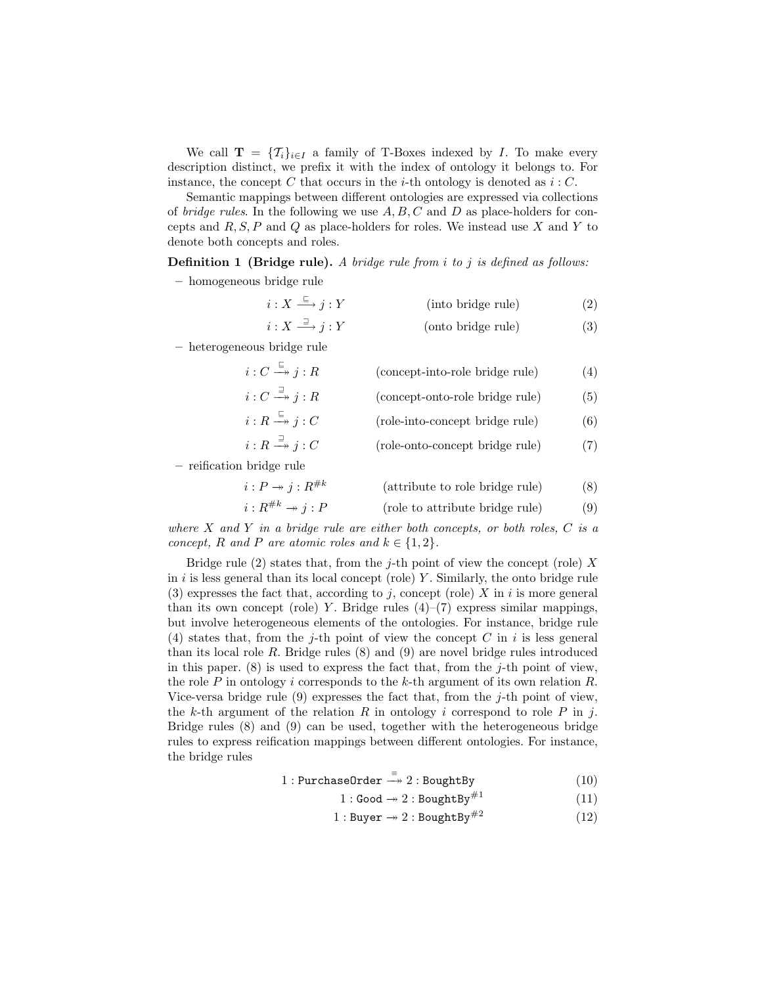We call  $\mathbf{T} = \{T_i\}_{i\in I}$  a family of T-Boxes indexed by I. To make every description distinct, we prefix it with the index of ontology it belongs to. For instance, the concept C that occurs in the *i*-th ontology is denoted as  $i: C$ .

Semantic mappings between different ontologies are expressed via collections of *bridge rules*. In the following we use  $A, B, C$  and  $D$  as place-holders for concepts and  $R, S, P$  and  $Q$  as place-holders for roles. We instead use  $X$  and  $Y$  to denote both concepts and roles.

**Definition 1** (Bridge rule). A bridge rule from i to j is defined as follows:

– homogeneous bridge rule

$$
i: X \xrightarrow{f} j: Y \qquad \qquad \text{(into bridge rule)} \qquad \qquad (2)
$$
\n
$$
i: X \xrightarrow{g} j: Y \qquad \qquad \text{(onto bridge rule)} \qquad \qquad (3)
$$

– heterogeneous bridge rule

$$
i: C \xrightarrow{\sqsubseteq} j: R \qquad \text{(concept into -role bridge rule)} \qquad (4)
$$
\n
$$
i: C \xrightarrow{\sqsupset} j: R \qquad \text{(concept-onto -role bridge rule)} \qquad (5)
$$
\n
$$
i: R \xrightarrow{\sqsubseteq} j: C \qquad \text{(role-into-concept bridge rule)} \qquad (6)
$$
\n
$$
i: R \xrightarrow{\sqsupset} j: C \qquad \text{(role-onto-concept bridge rule)} \qquad (7)
$$

– reification bridge rule

$$
i: P \to j: R^{\#k} \qquad \qquad \text{(attribute to role bridge rule)} \qquad \qquad (8)
$$
\n
$$
i: R^{\#k} \to j: P \qquad \qquad \text{(role to attribute bridge rule)} \qquad \qquad (9)
$$

where  $X$  and  $Y$  in a bridge rule are either both concepts, or both roles,  $C$  is a concept, R and P are atomic roles and  $k \in \{1,2\}$ .

Bridge rule  $(2)$  states that, from the j-th point of view the concept (role) X in  $i$  is less general than its local concept (role)  $Y$ . Similarly, the onto bridge rule (3) expresses the fact that, according to j, concept (role)  $X$  in i is more general than its own concept (role) Y. Bridge rules  $(4)$ – $(7)$  express similar mappings, but involve heterogeneous elements of the ontologies. For instance, bridge rule (4) states that, from the j-th point of view the concept C in i is less general than its local role R. Bridge rules  $(8)$  and  $(9)$  are novel bridge rules introduced in this paper.  $(8)$  is used to express the fact that, from the j-th point of view, the role P in ontology i corresponds to the k-th argument of its own relation  $R$ . Vice-versa bridge rule  $(9)$  expresses the fact that, from the j-th point of view, the k-th argument of the relation R in ontology i correspond to role P in j. Bridge rules (8) and (9) can be used, together with the heterogeneous bridge rules to express reification mappings between different ontologies. For instance, the bridge rules

$$
1: \text{PurchaseOrder} \xrightarrow{\equiv} 2: \text{BoughtBy} \tag{10}
$$

$$
1: \text{Good} \to 2: \text{BoughtBy}^{\#1} \tag{11}
$$

1 : Buyer  $\rightarrow 2$  : BoughtBy<sup>#2</sup> (12)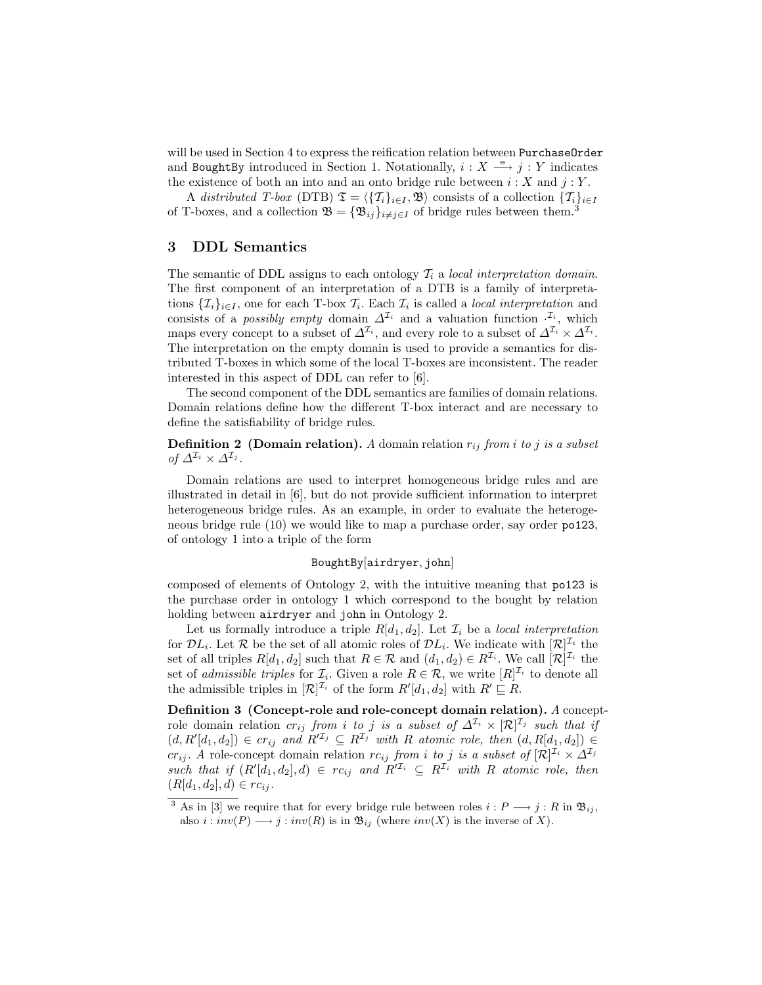will be used in Section 4 to express the reification relation between PurchaseOrder and BoughtBy introduced in Section 1. Notationally,  $i: X \stackrel{\equiv}{\longrightarrow} j: Y$  indicates the existence of both an into and an onto bridge rule between  $i : X$  and  $j : Y$ .

A distributed T-box (DTB)  $\mathfrak{T} = \langle {\{T_i\}}_{i \in I}, \mathfrak{B} \rangle$  consists of a collection  $\{T_i\}_{i \in I}$ of T-boxes, and a collection  $\mathfrak{B} = {\mathfrak{B}_{ij}}_{i \neq j \in I}$  of bridge rules between them.<sup>3</sup>

## 3 DDL Semantics

The semantic of DDL assigns to each ontology  $\mathcal{T}_i$  a local interpretation domain. The first component of an interpretation of a DTB is a family of interpretations  $\{\mathcal{I}_i\}_{i\in I}$ , one for each T-box  $\mathcal{I}_i$ . Each  $\mathcal{I}_i$  is called a *local interpretation* and consists of a *possibly empty* domain  $\Delta^{\mathcal{I}_i}$  and a valuation function  $\cdot^{\mathcal{I}_i}$ , which maps every concept to a subset of  $\Delta^{\mathcal{I}_i}$ , and every role to a subset of  $\Delta^{\mathcal{I}_i} \times \Delta^{\mathcal{I}_i}$ . The interpretation on the empty domain is used to provide a semantics for distributed T-boxes in which some of the local T-boxes are inconsistent. The reader interested in this aspect of DDL can refer to [6].

The second component of the DDL semantics are families of domain relations. Domain relations define how the different T-box interact and are necessary to define the satisfiability of bridge rules.

**Definition 2** (Domain relation). A domain relation  $r_{ij}$  from i to j is a subset of  $\Delta^{\mathcal{I}_i} \times \Delta^{\mathcal{I}_j}$ .

Domain relations are used to interpret homogeneous bridge rules and are illustrated in detail in [6], but do not provide sufficient information to interpret heterogeneous bridge rules. As an example, in order to evaluate the heterogeneous bridge rule (10) we would like to map a purchase order, say order po123, of ontology 1 into a triple of the form

#### BoughtBy[airdryer, john]

composed of elements of Ontology 2, with the intuitive meaning that po123 is the purchase order in ontology 1 which correspond to the bought by relation holding between airdryer and john in Ontology 2.

Let us formally introduce a triple  $R[d_1, d_2]$ . Let  $\mathcal{I}_i$  be a local interpretation for  $\mathcal{D}L_i$ . Let R be the set of all atomic roles of  $\mathcal{D}L_i$ . We indicate with  $[\mathcal{R}]^{\mathcal{I}_i}$  the set of all triples  $R[d_1, d_2]$  such that  $R \in \mathcal{R}$  and  $(d_1, d_2) \in R^{\mathcal{I}_i}$ . We call  $[\mathcal{R}]^{\mathcal{I}_i}$  the set of *admissible triples* for  $\mathcal{I}_i$ . Given a role  $R \in \mathcal{R}$ , we write  $[R]^{\mathcal{I}_i}$  to denote all the admissible triples in  $[\mathcal{R}]^{\mathcal{I}_i}$  of the form  $R'[d_1, d_2]$  with  $R' \sqsubseteq R$ .

Definition 3 (Concept-role and role-concept domain relation). A conceptrole domain relation  $cr_{ij}$  from i to j is a subset of  $\Delta^{\mathcal{I}_i} \times [\mathcal{R}]^{\mathcal{I}_j}$  such that if  $(d, R'[d_1, d_2]) \in cr_{ij}$  and  $R'^{I_j} \subseteq R^{I_j}$  with R atomic role, then  $(d, R[d_1, d_2]) \in$  $cr_{ij}$ . A role-concept domain relation  $rc_{ij}$  from i to j is a subset of  $[\mathcal{R}]^{\mathcal{I}_i} \times \Delta^{\mathcal{I}_j}$ such that if  $(R'[d_1, d_2], d) \in rc_{ij}$  and  $R'^{I_i} \subseteq R^{I_i}$  with R atomic role, then  $(R[d_1, d_2], d) \in rc_{ij}.$ 

<sup>&</sup>lt;sup>3</sup> As in [3] we require that for every bridge rule between roles  $i : P \longrightarrow j : R$  in  $\mathfrak{B}_{ij}$ , also  $i : inv(P) \longrightarrow j : inv(R)$  is in  $\mathfrak{B}_{ij}$  (where  $inv(X)$  is the inverse of X).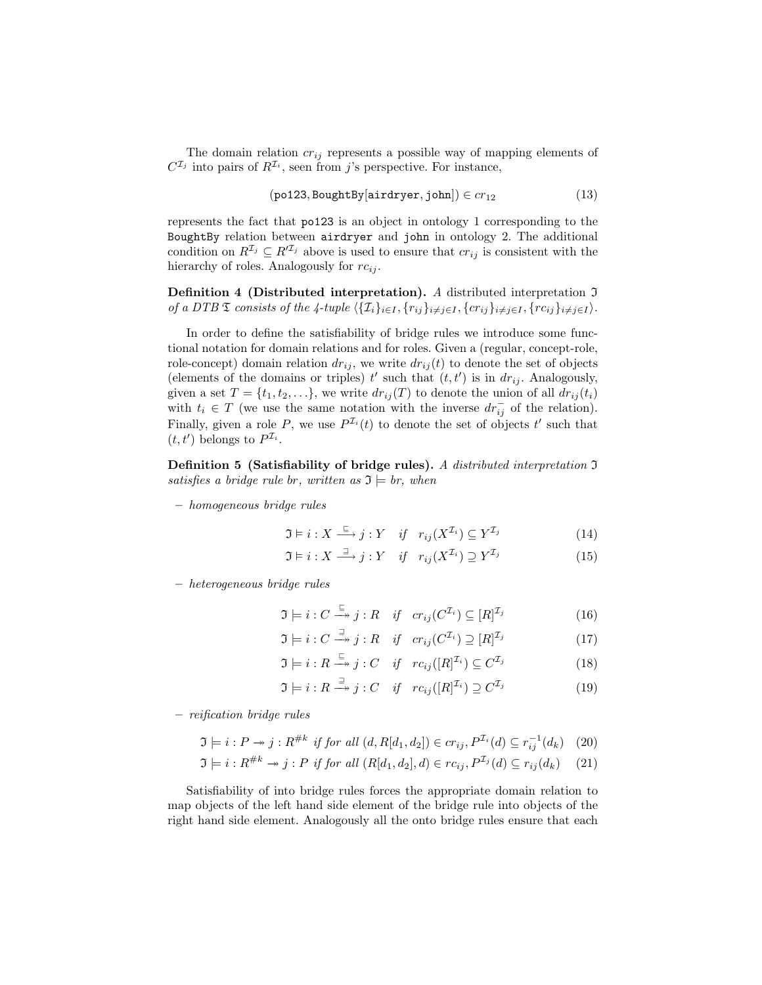The domain relation  $cr_{ij}$  represents a possible way of mapping elements of  $C^{\mathcal{I}_j}$  into pairs of  $R^{\mathcal{I}_i}$ , seen from j's perspective. For instance,

$$
(po123, BoughtBy[airdryer, john]) \in cr_{12}
$$
 (13)

represents the fact that po123 is an object in ontology 1 corresponding to the BoughtBy relation between airdryer and john in ontology 2. The additional condition on  $R^{\mathcal{I}_j} \subseteq R'^{\mathcal{I}_j}$  above is used to ensure that  $cr_{ij}$  is consistent with the hierarchy of roles. Analogously for  $rc_{ij}$ .

Definition 4 (Distributed interpretation). A distributed interpretation  $\mathfrak I$ of a DTB  $\mathfrak T$  consists of the 4-tuple  $\langle \{ \mathcal I_i \}_{i\in I} , \{r_{ij}\}_{i\neq j\in I} , \{cr_{ij}\}_{i\neq j\in I} , \{rc_{ij}\}_{i\neq j\in I} \rangle.$ 

In order to define the satisfiability of bridge rules we introduce some functional notation for domain relations and for roles. Given a (regular, concept-role, role-concept) domain relation  $dr_{ij}$ , we write  $dr_{ij}(t)$  to denote the set of objects (elements of the domains or triples)  $t'$  such that  $(t, t')$  is in  $dr_{ij}$ . Analogously, given a set  $T = \{t_1, t_2, \ldots\}$ , we write  $dr_{ij}(T)$  to denote the union of all  $dr_{ij}(t_i)$ with  $t_i \in T$  (we use the same notation with the inverse  $dr_{ij}^-$  of the relation). Finally, given a role P, we use  $P^{I_i}(t)$  to denote the set of objects t' such that  $(t, t')$  belongs to  $P^{\mathcal{I}_i}$ .

Definition 5 (Satisfiability of bridge rules). A distributed interpretation  $\mathfrak I$ satisfies a bridge rule br, written as  $\mathfrak{I} \models br$ , when

– homogeneous bridge rules

$$
\mathfrak{I} \models i: X \stackrel{\sqsubseteq}{\longrightarrow} j: Y \quad \text{if} \quad r_{ij}(X^{\mathcal{I}_i}) \subseteq Y^{\mathcal{I}_j} \tag{14}
$$

$$
\mathfrak{I} \models i: X \stackrel{\sqsupset}{\longrightarrow} j: Y \quad \text{if} \quad r_{ij}(X^{\mathcal{I}_i}) \supseteq Y^{\mathcal{I}_j} \tag{15}
$$

– heterogeneous bridge rules

$$
\mathfrak{I} \models i : C \xrightarrow{\subseteq} j : R \quad \text{if} \quad cr_{ij}(C^{\mathcal{I}_i}) \subseteq [R]^{\mathcal{I}_j} \tag{16}
$$

$$
\mathfrak{I} \models i : C \xrightarrow{\exists} j : R \quad \text{if} \quad cr_{ij}(C^{\mathcal{I}_i}) \supseteq [R]^{\mathcal{I}_j} \tag{17}
$$

$$
\mathfrak{I} \models i : R \xrightarrow{\subseteq} j : C \quad \text{if} \quad rc_{ij}([R]^{\mathcal{I}_i}) \subseteq C^{\mathcal{I}_j} \tag{18}
$$

$$
\mathfrak{I} \models i : R \xrightarrow{\supseteq} j : C \quad \text{if} \quad rc_{ij}([R]^{\mathcal{I}_i}) \supseteq C^{\mathcal{I}_j} \tag{19}
$$

– reification bridge rules

$$
\mathfrak{I} \models i : P \twoheadrightarrow j : R^{\#k} \text{ if for all } (d, R[d_1, d_2]) \in cr_{ij}, P^{\mathcal{I}_i}(d) \subseteq r_{ij}^{-1}(d_k) \tag{20}
$$

$$
\mathfrak{I} \models i : R^{\#k} \to j : P \text{ if for all } (R[d_1, d_2], d) \in rc_{ij}, P^{\mathcal{I}_j}(d) \subseteq r_{ij}(d_k) \tag{21}
$$

Satisfiability of into bridge rules forces the appropriate domain relation to map objects of the left hand side element of the bridge rule into objects of the right hand side element. Analogously all the onto bridge rules ensure that each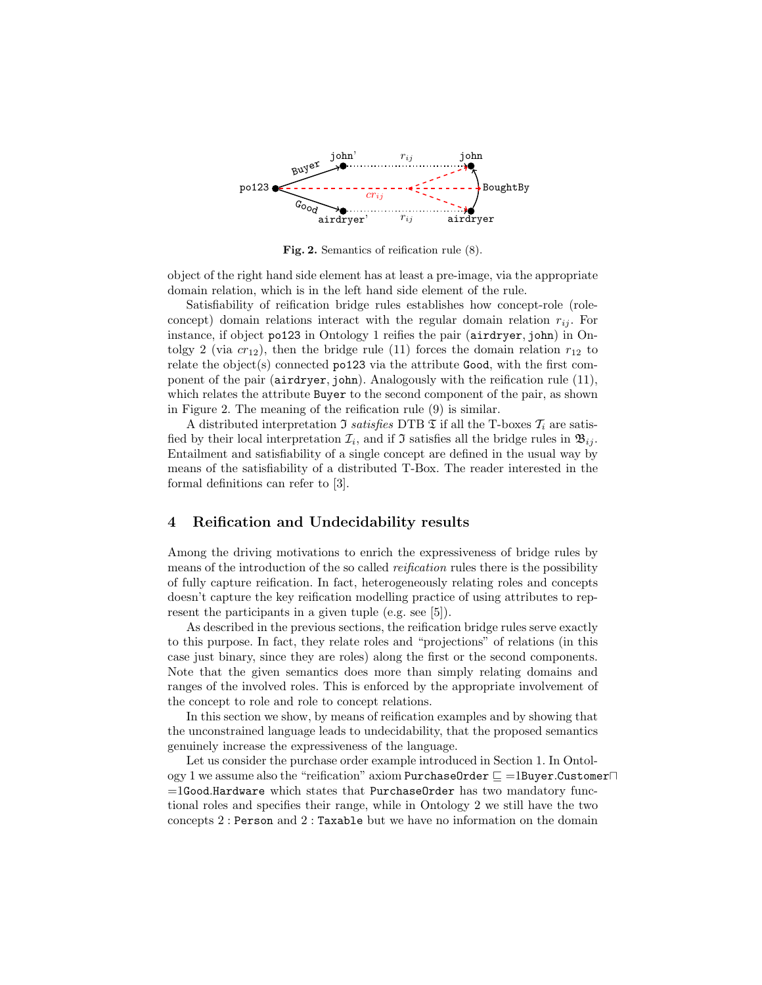

Fig. 2. Semantics of reification rule (8).

object of the right hand side element has at least a pre-image, via the appropriate domain relation, which is in the left hand side element of the rule.

Satisfiability of reification bridge rules establishes how concept-role (roleconcept) domain relations interact with the regular domain relation  $r_{ij}$ . For instance, if object po123 in Ontology 1 reifies the pair (airdryer, john) in Ontolgy 2 (via  $cr_{12}$ ), then the bridge rule (11) forces the domain relation  $r_{12}$  to relate the object(s) connected po123 via the attribute Good, with the first component of the pair (airdryer, john). Analogously with the reification rule (11), which relates the attribute Buyer to the second component of the pair, as shown in Figure 2. The meaning of the reification rule (9) is similar.

A distributed interpretation  $\Im$  satisfies DTB  $\Im$  if all the T-boxes  $\mathcal{T}_i$  are satisfied by their local interpretation  $\mathcal{I}_i$ , and if  $\mathcal I$  satisfies all the bridge rules in  $\mathfrak{B}_{ij}$ . Entailment and satisfiability of a single concept are defined in the usual way by means of the satisfiability of a distributed T-Box. The reader interested in the formal definitions can refer to [3].

# 4 Reification and Undecidability results

Among the driving motivations to enrich the expressiveness of bridge rules by means of the introduction of the so called *reification* rules there is the possibility of fully capture reification. In fact, heterogeneously relating roles and concepts doesn't capture the key reification modelling practice of using attributes to represent the participants in a given tuple (e.g. see [5]).

As described in the previous sections, the reification bridge rules serve exactly to this purpose. In fact, they relate roles and "projections" of relations (in this case just binary, since they are roles) along the first or the second components. Note that the given semantics does more than simply relating domains and ranges of the involved roles. This is enforced by the appropriate involvement of the concept to role and role to concept relations.

In this section we show, by means of reification examples and by showing that the unconstrained language leads to undecidability, that the proposed semantics genuinely increase the expressiveness of the language.

Let us consider the purchase order example introduced in Section 1. In Ontology 1 we assume also the "reification" axiom PurchaseOrder  $\sqsubseteq$  =1Buyer.Customer $\sqcap$  $=1$ Good.Hardware which states that PurchaseOrder has two mandatory functional roles and specifies their range, while in Ontology 2 we still have the two concepts 2 : Person and 2 : Taxable but we have no information on the domain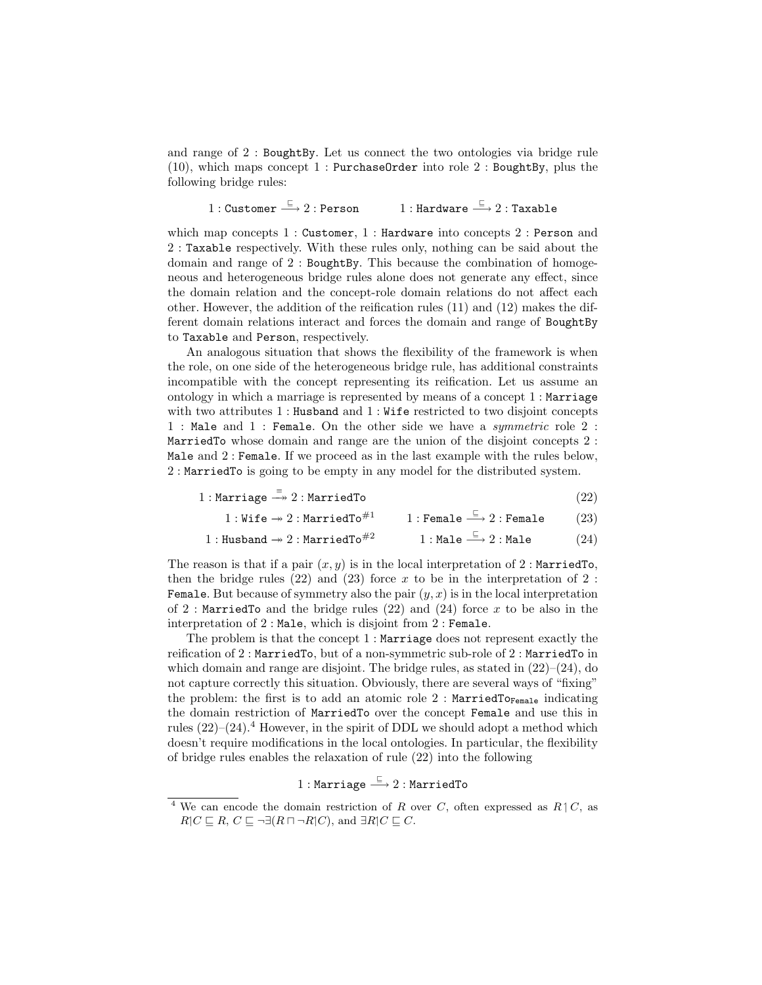and range of 2 : BoughtBy. Let us connect the two ontologies via bridge rule  $(10)$ , which maps concept 1 : PurchaseOrder into role 2 : BoughtBy, plus the following bridge rules:

1 : Customer  $\xrightarrow{\sqsubseteq} 2$  : Person  $\xrightarrow{\sqsubseteq} 2 : \mathtt{Person} \qquad \quad 1 : \mathtt{Hardware} \xrightarrow{\sqsubseteq} 2 : \mathtt{Taxable}$ 

which map concepts 1 : Customer, 1 : Hardware into concepts 2 : Person and 2 : Taxable respectively. With these rules only, nothing can be said about the domain and range of 2 : BoughtBy. This because the combination of homogeneous and heterogeneous bridge rules alone does not generate any effect, since the domain relation and the concept-role domain relations do not affect each other. However, the addition of the reification rules (11) and (12) makes the different domain relations interact and forces the domain and range of BoughtBy to Taxable and Person, respectively.

An analogous situation that shows the flexibility of the framework is when the role, on one side of the heterogeneous bridge rule, has additional constraints incompatible with the concept representing its reification. Let us assume an ontology in which a marriage is represented by means of a concept 1 : Marriage with two attributes 1 : Husband and 1 : Wife restricted to two disjoint concepts 1 : Male and 1 : Female. On the other side we have a symmetric role 2 : MarriedTo whose domain and range are the union of the disjoint concepts 2 : Male and 2 : Female. If we proceed as in the last example with the rules below, 2 : MarriedTo is going to be empty in any model for the distributed system.

 $1 : \text{Marriage} \stackrel{\equiv}{\longrightarrow} 2 : \text{MarriedTo}$  (22)

$$
1: \mathtt{Wife} \twoheadrightarrow 2: \mathtt{MarriedTo}^{\#1} \qquad \quad 1: \mathtt{Female} \stackrel{\sqsubseteq}{\longrightarrow} 2: \mathtt{Female} \qquad \quad (23)
$$

$$
1: {\tt Husband} \rightarrow 2: {\tt MarriedTo}^{\#2} \qquad \qquad 1: {\tt Male} \stackrel{\sqsubseteq}{\longrightarrow} 2: {\tt Male} \qquad \qquad (24)
$$

The reason is that if a pair  $(x, y)$  is in the local interpretation of 2 : MarriedTo, then the bridge rules  $(22)$  and  $(23)$  force x to be in the interpretation of 2: **Female.** But because of symmetry also the pair  $(y, x)$  is in the local interpretation of 2 : MarriedTo and the bridge rules  $(22)$  and  $(24)$  force x to be also in the interpretation of 2 : Male, which is disjoint from 2 : Female.

The problem is that the concept 1 : Marriage does not represent exactly the reification of 2 : MarriedTo, but of a non-symmetric sub-role of 2 : MarriedTo in which domain and range are disjoint. The bridge rules, as stated in  $(22)$ – $(24)$ , do not capture correctly this situation. Obviously, there are several ways of "fixing" the problem: the first is to add an atomic role  $2$ : MarriedTo<sub>Female</sub> indicating the domain restriction of MarriedTo over the concept Female and use this in rules  $(22)-(24)$ .<sup>4</sup> However, in the spirit of DDL we should adopt a method which doesn't require modifications in the local ontologies. In particular, the flexibility of bridge rules enables the relaxation of rule (22) into the following

 $1:$  Marriage  $\xrightarrow{\sqsubseteq} 2:$  MarriedTo

<sup>&</sup>lt;sup>4</sup> We can encode the domain restriction of R over C, often expressed as  $R\upharpoonright C$ , as  $R|C \sqsubseteq R$ ,  $C \sqsubseteq \neg \exists (R \sqcap \neg R | C)$ , and  $\exists R | C \sqsubseteq C$ .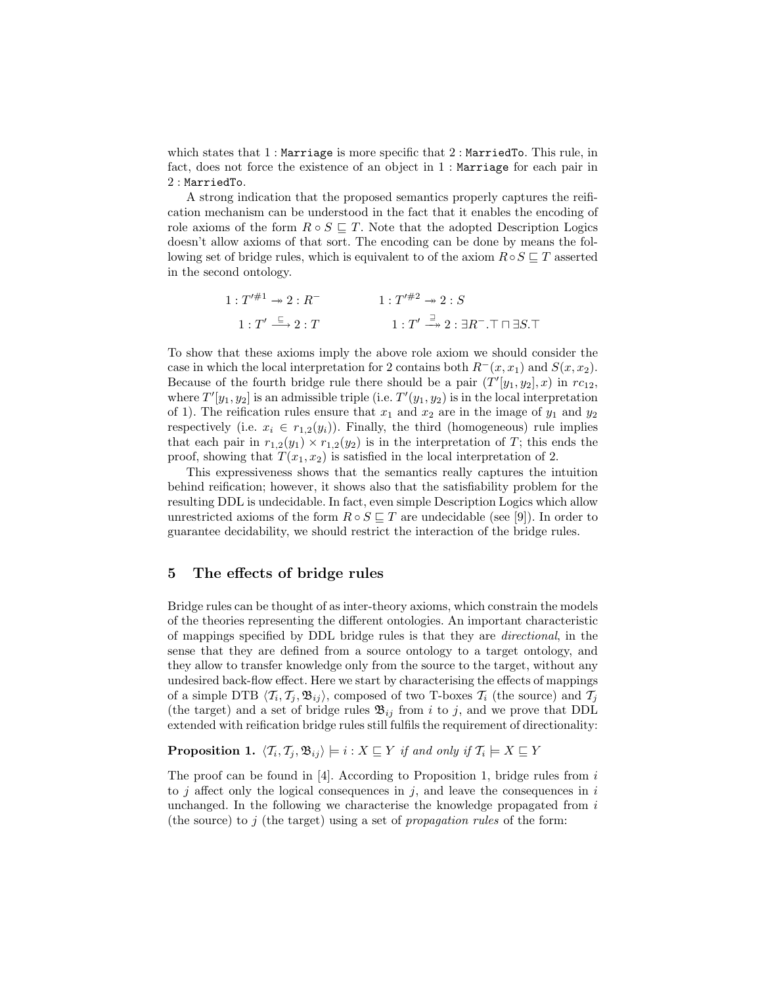which states that  $1$ : Marriage is more specific that  $2$ : MarriedTo. This rule, in fact, does not force the existence of an object in 1 : Marriage for each pair in 2 : MarriedTo.

A strong indication that the proposed semantics properly captures the reification mechanism can be understood in the fact that it enables the encoding of role axioms of the form  $R \circ S \sqsubseteq T$ . Note that the adopted Description Logics doesn't allow axioms of that sort. The encoding can be done by means the following set of bridge rules, which is equivalent to of the axiom  $R \circ S \sqsubseteq T$  asserted in the second ontology.

$$
1: T'^{\#1} \twoheadrightarrow 2: R^{-}
$$
  

$$
1: T'^{\#2} \twoheadrightarrow 2: S
$$
  

$$
1: T' \xrightarrow{\Xi} 2: T
$$
  

$$
1: T' \xrightarrow{\exists} 2: \exists R^{-}.\top \sqcap \exists S.\top
$$

To show that these axioms imply the above role axiom we should consider the case in which the local interpretation for 2 contains both  $R^-(x, x_1)$  and  $S(x, x_2)$ . Because of the fourth bridge rule there should be a pair  $(T'[y_1, y_2], x)$  in  $rc_{12}$ , where  $T'[y_1, y_2]$  is an admissible triple (i.e.  $T'(y_1, y_2)$  is in the local interpretation of 1). The reification rules ensure that  $x_1$  and  $x_2$  are in the image of  $y_1$  and  $y_2$ respectively (i.e.  $x_i \in r_{1,2}(y_i)$ ). Finally, the third (homogeneous) rule implies that each pair in  $r_{1,2}(y_1) \times r_{1,2}(y_2)$  is in the interpretation of T; this ends the proof, showing that  $T(x_1, x_2)$  is satisfied in the local interpretation of 2.

This expressiveness shows that the semantics really captures the intuition behind reification; however, it shows also that the satisfiability problem for the resulting DDL is undecidable. In fact, even simple Description Logics which allow unrestricted axioms of the form  $R \circ S \sqsubseteq T$  are undecidable (see [9]). In order to guarantee decidability, we should restrict the interaction of the bridge rules.

# 5 The effects of bridge rules

Bridge rules can be thought of as inter-theory axioms, which constrain the models of the theories representing the different ontologies. An important characteristic of mappings specified by DDL bridge rules is that they are directional, in the sense that they are defined from a source ontology to a target ontology, and they allow to transfer knowledge only from the source to the target, without any undesired back-flow effect. Here we start by characterising the effects of mappings of a simple DTB  $\langle T_i, T_j, \mathfrak{B}_{ij} \rangle$ , composed of two T-boxes  $T_i$  (the source) and  $T_j$ (the target) and a set of bridge rules  $\mathfrak{B}_{ij}$  from i to j, and we prove that DDL extended with reification bridge rules still fulfils the requirement of directionality:

**Proposition 1.**  $\langle T_i, T_j, \mathfrak{B}_{ij} \rangle \models i : X \sqsubseteq Y$  if and only if  $T_i \models X \sqsubseteq Y$ 

The proof can be found in  $[4]$ . According to Proposition 1, bridge rules from i to j affect only the logical consequences in j, and leave the consequences in i unchanged. In the following we characterise the knowledge propagated from  $i$ (the source) to j (the target) using a set of *propagation rules* of the form: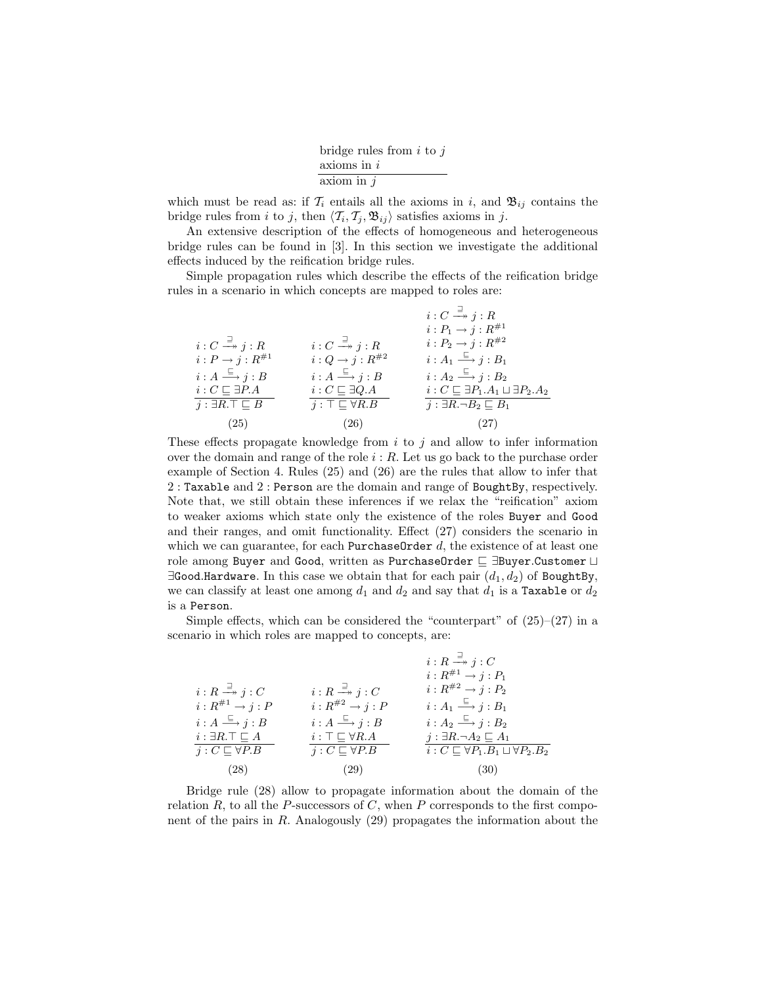| bridge rules from $i$ to $j$ |
|------------------------------|
| $axioms$ in $i$              |
| axiom in $j$                 |

which must be read as: if  $\mathcal{T}_i$  entails all the axioms in i, and  $\mathfrak{B}_{ij}$  contains the bridge rules from *i* to *j*, then  $\langle T_i, T_j, \mathfrak{B}_{ij} \rangle$  satisfies axioms in *j*.

An extensive description of the effects of homogeneous and heterogeneous bridge rules can be found in [3]. In this section we investigate the additional effects induced by the reification bridge rules.

Simple propagation rules which describe the effects of the reification bridge rules in a scenario in which concepts are mapped to roles are:

|                                                   |                                                   | $i:C\stackrel{\exists}{\longrightarrow} j:R$              |
|---------------------------------------------------|---------------------------------------------------|-----------------------------------------------------------|
|                                                   |                                                   | $i: P_1 \to j: R^{\#1}$                                   |
| $i:C\stackrel{\exists}{\longrightarrow} j:R$      | $i:C\stackrel{\supset}{\longrightarrow} j:R$      | $i: P_2 \to j: R^{\#2}$                                   |
| $i: P \rightarrow j: R^{\#1}$                     | $i:Q\rightarrow j:R^{\#2}$                        | $i:A_1 \stackrel{\sqsubseteq}{\longrightarrow} j:B_1$     |
| $i:A \stackrel{\sqsubseteq}{\longrightarrow} j:B$ | $i:A \stackrel{\sqsubseteq}{\longrightarrow} j:B$ | $i: A_2 \stackrel{\sqsubseteq}{\longrightarrow} j: B_2$   |
| $i:C\sqsubseteq \exists P.A$                      | $i:C\sqsubseteq \exists Q.A$                      | $i: C \sqsubseteq \exists P_1.A_1 \sqcup \exists P_2.A_2$ |
| $j : \exists R \ldotp \top \sqsubseteq B$         | $j : \top \sqsubseteq \forall R.B$                | $i: \exists R.\neg B_2 \sqsubset B_1$                     |
| (25)                                              | (26)                                              | (27)                                                      |

These effects propagate knowledge from  $i$  to  $j$  and allow to infer information over the domain and range of the role  $i : R$ . Let us go back to the purchase order example of Section 4. Rules (25) and (26) are the rules that allow to infer that 2 : Taxable and 2 : Person are the domain and range of BoughtBy, respectively. Note that, we still obtain these inferences if we relax the "reification" axiom to weaker axioms which state only the existence of the roles Buyer and Good and their ranges, and omit functionality. Effect (27) considers the scenario in which we can guarantee, for each PurchaseOrder  $d$ , the existence of at least one role among Buyer and Good, written as PurchaseOrder  $\sqsubseteq$  ∃Buyer.Customer  $\sqcup$  $\exists$ Good.Hardware. In this case we obtain that for each pair  $(d_1, d_2)$  of BoughtBy, we can classify at least one among  $d_1$  and  $d_2$  and say that  $d_1$  is a Taxable or  $d_2$ is a Person.

Simple effects, which can be considered the "counterpart" of  $(25)-(27)$  in a scenario in which roles are mapped to concepts, are:

|                                                   |                                                   | $i: R \stackrel{\sqsupset}{\longrightarrow} j: C$       |
|---------------------------------------------------|---------------------------------------------------|---------------------------------------------------------|
|                                                   |                                                   | $i: R^{\#1} \rightarrow j: P_1$                         |
| $i:R \stackrel{\sqsupset}{\longrightarrow} j:C$   | $i: R \stackrel{\sqsupset}{\longrightarrow} j: C$ | $i: R^{\#2} \rightarrow j: P_2$                         |
| $i: R^{\#1} \rightarrow j: P$                     | $i: R^{\#2} \rightarrow j: P$                     | $i:A_1 \stackrel{\sqsubseteq}{\longrightarrow} j:B_1$   |
| $i:A \stackrel{\sqsubseteq}{\longrightarrow} j:B$ | $i:A \stackrel{\sqsubseteq}{\longrightarrow} j:B$ | $i:A_2 \stackrel{\sqsubseteq}{\longrightarrow} j:B_2$   |
| $i: \exists R.\top \sqsubset A$                   | $i: \top \sqsubseteq \forall R.A$                 | $j : \exists R.\neg A_2 \sqsubseteq A_1$                |
| $j: C \sqsubseteq \forall P.B$                    | $j: C \sqsubseteq \forall P.B$                    | $i: C \sqsubset \forall P_1.B_1 \sqcup \forall P_2.B_2$ |
| (28)                                              | (29)                                              | (30)                                                    |

Bridge rule (28) allow to propagate information about the domain of the relation  $R$ , to all the  $P$ -successors of  $C$ , when  $P$  corresponds to the first component of the pairs in R. Analogously (29) propagates the information about the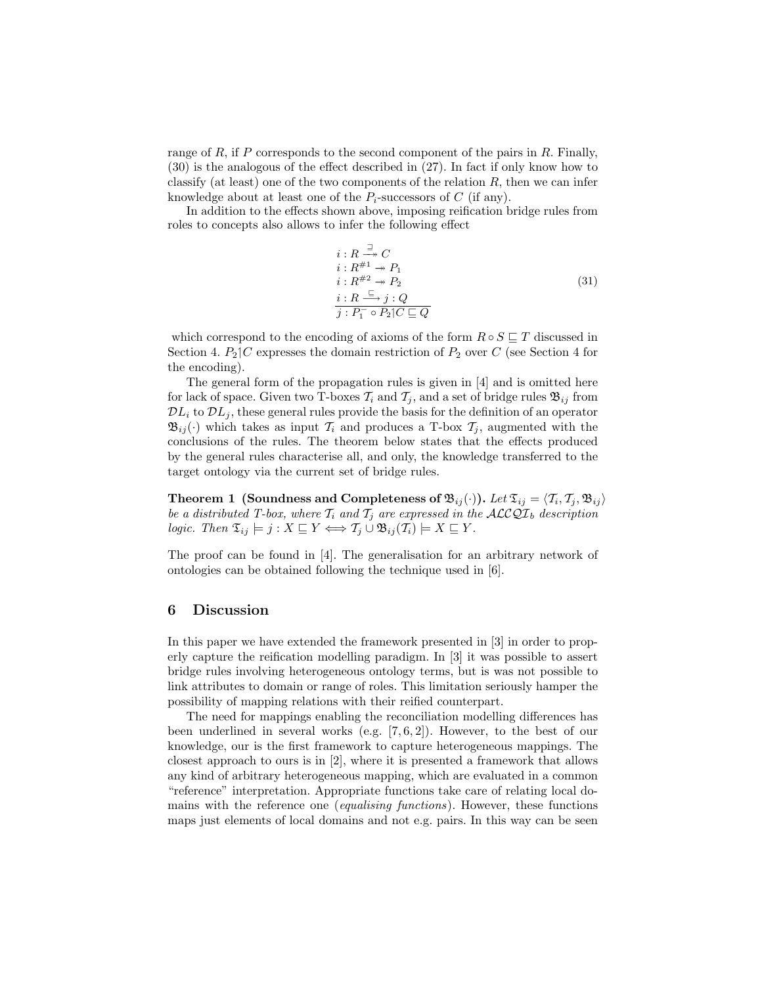range of R, if P corresponds to the second component of the pairs in R. Finally, (30) is the analogous of the effect described in (27). In fact if only know how to classify (at least) one of the two components of the relation  $R$ , then we can infer knowledge about at least one of the  $P_i$ -successors of C (if any).

In addition to the effects shown above, imposing reification bridge rules from roles to concepts also allows to infer the following effect

$$
i: R \xrightarrow{\exists} C
$$
  
\n
$$
i: R^{\#1} \to P_1
$$
  
\n
$$
i: R^{\#2} \to P_2
$$
  
\n
$$
i: R \xrightarrow{\subseteq} j: Q
$$
  
\n
$$
j: P_1^- \circ P_2 | C \sqsubseteq Q
$$
\n
$$
(31)
$$

which correspond to the encoding of axioms of the form  $R \circ S \sqsubseteq T$  discussed in Section 4.  $P_2$  C expresses the domain restriction of  $P_2$  over C (see Section 4 for the encoding).

The general form of the propagation rules is given in [4] and is omitted here for lack of space. Given two T-boxes  $\mathcal{T}_i$  and  $\mathcal{T}_j$ , and a set of bridge rules  $\mathfrak{B}_{ij}$  from  $\mathcal{D}L_i$  to  $\mathcal{D}L_i$ , these general rules provide the basis for the definition of an operator  $\mathfrak{B}_{ij}(\cdot)$  which takes as input  $\mathcal{T}_i$  and produces a T-box  $\mathcal{T}_j$ , augmented with the conclusions of the rules. The theorem below states that the effects produced by the general rules characterise all, and only, the knowledge transferred to the target ontology via the current set of bridge rules.

Theorem 1 (Soundness and Completeness of  $\mathfrak{B}_{ij}(\cdot)$ ). Let  $\mathfrak{T}_{ij} = \langle T_i, T_j, \mathfrak{B}_{ij} \rangle$ be a distributed T-box, where  $T_i$  and  $T_j$  are expressed in the  $\mathcal{ALCQL}_b$  description logic. Then  $\mathfrak{T}_{ij} \models j : X \sqsubseteq Y \Longleftrightarrow \mathcal{T}_j \cup \mathfrak{B}_{ij}(\mathcal{T}_i) \models X \sqsubseteq Y$ .

The proof can be found in [4]. The generalisation for an arbitrary network of ontologies can be obtained following the technique used in [6].

## 6 Discussion

In this paper we have extended the framework presented in [3] in order to properly capture the reification modelling paradigm. In [3] it was possible to assert bridge rules involving heterogeneous ontology terms, but is was not possible to link attributes to domain or range of roles. This limitation seriously hamper the possibility of mapping relations with their reified counterpart.

The need for mappings enabling the reconciliation modelling differences has been underlined in several works (e.g. [7, 6, 2]). However, to the best of our knowledge, our is the first framework to capture heterogeneous mappings. The closest approach to ours is in [2], where it is presented a framework that allows any kind of arbitrary heterogeneous mapping, which are evaluated in a common "reference" interpretation. Appropriate functions take care of relating local domains with the reference one (equalising functions). However, these functions maps just elements of local domains and not e.g. pairs. In this way can be seen